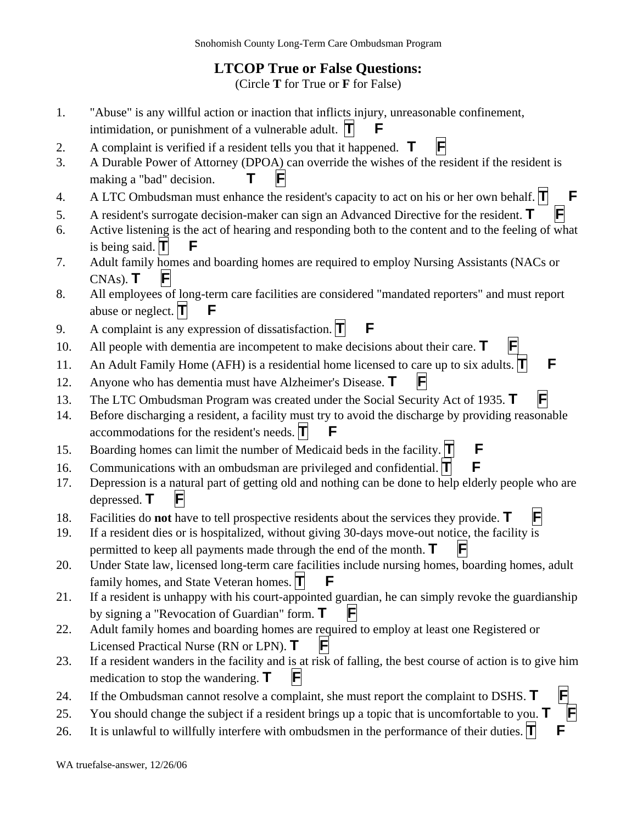## **LTCOP True or False Questions:**

(Circle **T** for True or **F** for False)

- 1. "Abuse" is any willful action or inaction that inflicts injury, unreasonable confinement, intimidation, or punishment of a vulnerable adult.  $|\mathbf{T}|$  **F**
- 2. A complaint is verified if a resident tells you that it happened. **T F**
- 3. A Durable Power of Attorney (DPOA) can override the wishes of the resident if the resident is making a "bad" decision.  $\mathbf{T}$   $\mathbf{F}$
- 4. A LTC Ombudsman must enhance the resident's capacity to act on his or her own behalf.  $\mathbf{\Pi}$   $\mathbf{F}$
- 5. A resident's surrogate decision-maker can sign an Advanced Directive for the resident. **T F**
- 6. Active listening is the act of hearing and responding both to the content and to the feeling of what is being said.  $\blacksquare$
- 7. Adult family homes and boarding homes are required to employ Nursing Assistants (NACs or  $CNAs$ ).  $\mathbf{T}$
- 8. All employees of long-term care facilities are considered "mandated reporters" and must report abuse or neglect.  $\Pi$  **F**
- 9. A complaint is any expression of dissatisfaction. **T F**
- 10. All people with dementia are incompetent to make decisions about their care. **T F**
- 11. An Adult Family Home (AFH) is a residential home licensed to care up to six adults.  $\mathbf{T}$   $\mathbf{F}$
- 12. Anyone who has dementia must have Alzheimer's Disease. **T F**
- 13. The LTC Ombudsman Program was created under the Social Security Act of 1935. **T**
- 14. Before discharging a resident, a facility must try to avoid the discharge by providing reasonable accommodations for the resident's needs. **T**
- 15. Boarding homes can limit the number of Medicaid beds in the facility. **T F**
- 16. Communications with an ombudsman are privileged and confidential. **T F**
- 17. Depression is a natural part of getting old and nothing can be done to help elderly people who are depressed. **T**
- 18. Facilities do **not** have to tell prospective residents about the services they provide. **T F**
- 19. If a resident dies or is hospitalized, without giving 30-days move-out notice, the facility is permitted to keep all payments made through the end of the month.  $\mathbf{T}$
- 20. Under State law, licensed long-term care facilities include nursing homes, boarding homes, adult family homes, and State Veteran homes.  $\Pi$  **F**
- 21. If a resident is unhappy with his court-appointed guardian, he can simply revoke the guardianship by signing a "Revocation of Guardian" form.  $\mathbf{T}$   $\|\mathbf{F}\|$
- 22. Adult family homes and boarding homes are required to employ at least one Registered or Licensed Practical Nurse (RN or LPN). **T**
- 23. If a resident wanders in the facility and is at risk of falling, the best course of action is to give him medication to stop the wandering.  $\mathbf{T}$   $\|\mathbf{F}\|$
- 24. If the Ombudsman cannot resolve a complaint, she must report the complaint to DSHS. **T F**
- 25. You should change the subject if a resident brings up a topic that is uncomfortable to you. **T F**
- 26. It is unlawful to willfully interfere with ombudsmen in the performance of their duties.  $|\mathbf{T}|$   $\mathbf{F}$